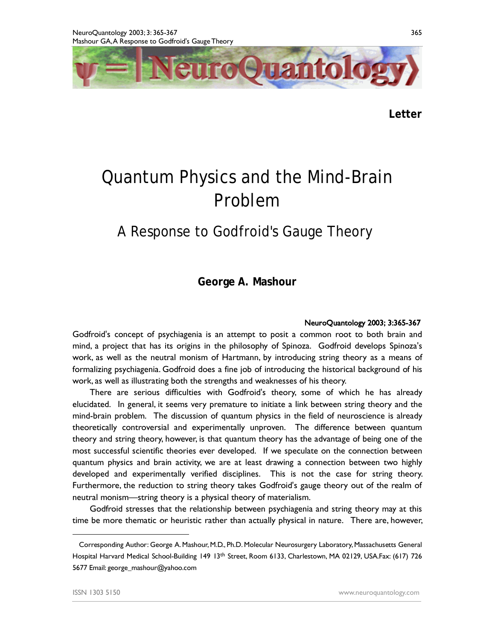

**Letter** 

## Quantum Physics and the Mind-Brain Problem

## A Response to Godfroid's Gauge Theory**<sup>1</sup>**

**George A. Mashour**

## **NeuroQuantology 2003; 3:365-367**

Godfroid's concept of psychiagenia is an attempt to posit a common root to both brain and mind, a project that has its origins in the philosophy of Spinoza. Godfroid develops Spinoza's work, as well as the neutral monism of Hartmann, by introducing string theory as a means of formalizing psychiagenia. Godfroid does a fine job of introducing the historical background of his work, as well as illustrating both the strengths and weaknesses of his theory.

There are serious difficulties with Godfroid's theory, some of which he has already elucidated. In general, it seems very premature to initiate a link between string theory and the mind-brain problem. The discussion of quantum physics in the field of neuroscience is already theoretically controversial and experimentally unproven. The difference between quantum theory and string theory, however, is that quantum theory has the advantage of being one of the most successful scientific theories ever developed. If we speculate on the connection between quantum physics and brain activity, we are at least drawing a connection between two highly developed and experimentally verified disciplines. This is not the case for string theory. Furthermore, the reduction to string theory takes Godfroid's gauge theory out of the realm of neutral monism—string theory is a physical theory of materialism.

Godfroid stresses that the relationship between psychiagenia and string theory may at this time be more thematic or heuristic rather than actually physical in nature. There are, however,

365

 $\overline{a}$ 

Corresponding Author: George A.Mashour,M.D., Ph.D*.* Molecular Neurosurgery Laboratory,Massachusetts General Hospital Harvard Medical School-Building 149 13<sup>th</sup> Street, Room 6133, Charlestown, MA 02129, USA.Fax: (617) 726 5677 Email: [george\\_mashour@yahoo.com](mailto:george_mashour@yahoo.com)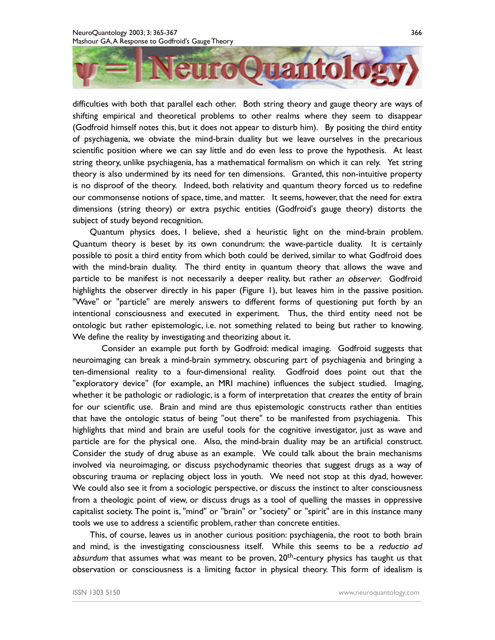

difficulties with both that parallel each other. Both string theory and gauge theory are ways of shifting empirical and theoretical problems to other realms where they seem to disappear (Godfroid himself notes this, but it does not appear to disturb him). By positing the third entity of psychiagenia, we obviate the mind-brain duality but we leave ourselves in the precarious scientific position where we can say little and do even less to prove the hypothesis. At least string theory, unlike psychiagenia, has a mathematical formalism on which it can rely. Yet string theory is also undermined by its need for ten dimensions. Granted, this non-intuitive property is no disproof of the theory. Indeed, both relativity and quantum theory forced us to redefine our commonsense notions of space, time, and matter. It seems, however, that the need for extra dimensions (string theory) or extra psychic entities (Godfroid's gauge theory) distorts the subject of study beyond recognition.

Quantum physics does, I believe, shed a heuristic light on the mind-brain problem. Quantum theory is beset by its own conundrum: the wave-particle duality. It is certainly possible to posit a third entity from which both could be derived, similar to what Godfroid does with the mind-brain duality. The third entity in quantum theory that allows the wave and particle to be manifest is not necessarily a deeper reality, but rather *an observer*. Godfroid highlights the observer directly in his paper (Figure 1), but leaves him in the passive position. "Wave" or "particle" are merely answers to different forms of questioning put forth by an intentional consciousness and executed in experiment. Thus, the third entity need not be ontologic but rather epistemologic, i.e. not something related to being but rather to knowing. We define the reality by investigating and theorizing about it.

Consider an example put forth by Godfroid: medical imaging. Godfroid suggests that neuroimaging can break a mind-brain symmetry, obscuring part of psychiagenia and bringing a ten-dimensional reality to a four-dimensional reality. Godfroid does point out that the "exploratory device" (for example, an MRI machine) influences the subject studied. Imaging, whether it be pathologic or radiologic, is a form of interpretation that *creates* the entity of brain for our scientific use. Brain and mind are thus epistemologic constructs rather than entities that have the ontologic status of being "out there" to be manifested from psychiagenia. This highlights that mind and brain are useful tools for the cognitive investigator, just as wave and particle are for the physical one. Also, the mind-brain duality may be an artificial construct. Consider the study of drug abuse as an example. We could talk about the brain mechanisms involved via neuroimaging, or discuss psychodynamic theories that suggest drugs as a way of obscuring trauma or replacing object loss in youth. We need not stop at this dyad, however. We could also see it from a sociologic perspective, or discuss the instinct to alter consciousness from a theologic point of view, or discuss drugs as a tool of quelling the masses in oppressive capitalist society. The point is, "mind" or "brain" or "society" or "spirit" are in this instance many tools we use to address a scientific problem, rather than concrete entities.

This, of course, leaves us in another curious position: psychiagenia, the root to both brain and mind, is the investigating consciousness itself. While this seems to be a *reductio ad*  a*bsurdum* that assumes what was meant to be proven, 20<sup>th</sup>-century physics has taught us that observation or consciousness is a limiting factor in physical theory. This form of idealism is